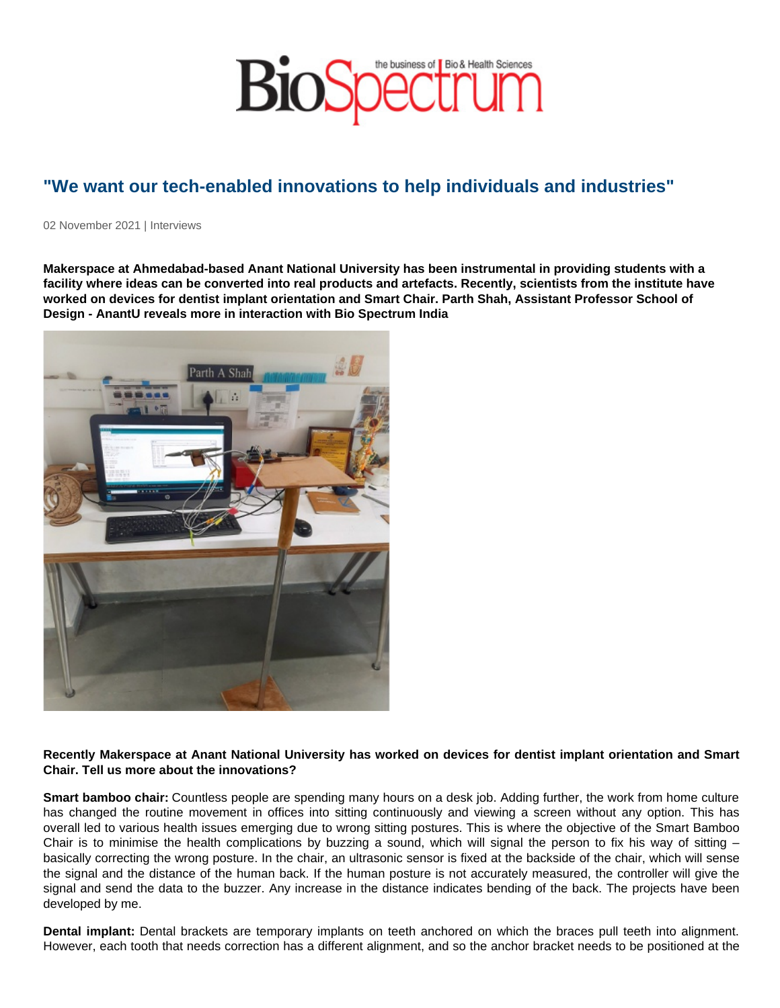# "We want our tech-enabled innovations to help individuals and industries"

02 November 2021 | Interviews

Makerspace at Ahmedabad-based Anant National University has been instrumental in providing students with a facility where ideas can be converted into real products and artefacts. Recently, scientists from the institute have worked on devices for dentist implant orientation and Smart Chair. Parth Shah, Assistant Professor School of Design - AnantU reveals more in interaction with Bio Spectrum India

Recently Makerspace at Anant National University has worked on devices for dentist implant orientation and Smart Chair. Tell us more about the innovations?

Smart bamboo chair: Countless people are spending many hours on a desk job. Adding further, the work from home culture has changed the routine movement in offices into sitting continuously and viewing a screen without any option. This has overall led to various health issues emerging due to wrong sitting postures. This is where the objective of the Smart Bamboo Chair is to minimise the health complications by buzzing a sound, which will signal the person to fix his way of sitting  $$ basically correcting the wrong posture. In the chair, an ultrasonic sensor is fixed at the backside of the chair, which will sense the signal and the distance of the human back. If the human posture is not accurately measured, the controller will give the signal and send the data to the buzzer. Any increase in the distance indicates bending of the back. The projects have been developed by me.

Dental implant: Dental brackets are temporary implants on teeth anchored on which the braces pull teeth into alignment. However, each tooth that needs correction has a different alignment, and so the anchor bracket needs to be positioned at the